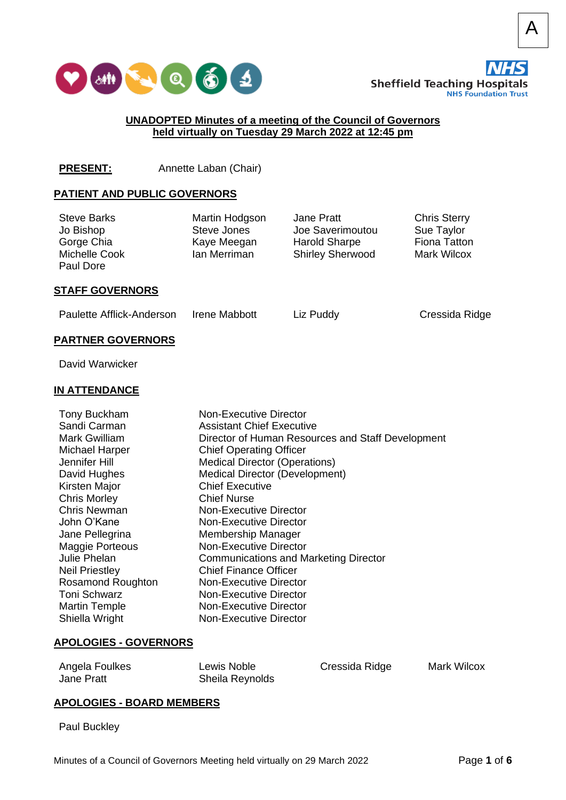



A

Liz Puddy **Cressida Ridge** 

## **UNADOPTED Minutes of a meeting of the Council of Governors held virtually on Tuesday 29 March 2022 at 12:45 pm**

## **PRESENT:** Annette Laban (Chair)

## **PATIENT AND PUBLIC GOVERNORS**

| <b>Steve Barks</b><br>Jo Bishop<br>Gorge Chia<br>Michelle Cook<br>Paul Dore | Martin Hodgson<br>Steve Jones<br>Kaye Meegan<br>Ian Merriman | Jane Pratt<br>Joe Saverimoutou<br><b>Harold Sharpe</b><br><b>Shirley Sherwood</b> | <b>Chris Sterry</b><br>Sue Taylor<br>Fiona Tatton<br><b>Mark Wilcox</b> |  |
|-----------------------------------------------------------------------------|--------------------------------------------------------------|-----------------------------------------------------------------------------------|-------------------------------------------------------------------------|--|
| STAEE COVEDNODS                                                             |                                                              |                                                                                   |                                                                         |  |

## **STAFF GOVERNORS**

| Paulette Afflick-Anderson | <b>Irene Mabbott</b> |
|---------------------------|----------------------|
|                           |                      |

### **PARTNER GOVERNORS**

David Warwicker

## **IN ATTENDANCE**

| <b>Tony Buckham</b><br>Sandi Carman<br>Mark Gwilliam<br><b>Michael Harper</b><br>Jennifer Hill<br>David Hughes<br>Kirsten Major<br><b>Chris Morley</b><br>Chris Newman<br>John O'Kane<br>Jane Pellegrina<br><b>Maggie Porteous</b><br>Julie Phelan<br><b>Neil Priestley</b><br><b>Rosamond Roughton</b><br>Toni Schwarz<br><b>Martin Temple</b> | Non-Executive Director<br><b>Assistant Chief Executive</b><br>Director of Human Resources and Staff Development<br><b>Chief Operating Officer</b><br><b>Medical Director (Operations)</b><br><b>Medical Director (Development)</b><br><b>Chief Executive</b><br><b>Chief Nurse</b><br>Non-Executive Director<br>Non-Executive Director<br>Membership Manager<br>Non-Executive Director<br><b>Communications and Marketing Director</b><br><b>Chief Finance Officer</b><br>Non-Executive Director<br>Non-Executive Director<br>Non-Executive Director |
|-------------------------------------------------------------------------------------------------------------------------------------------------------------------------------------------------------------------------------------------------------------------------------------------------------------------------------------------------|------------------------------------------------------------------------------------------------------------------------------------------------------------------------------------------------------------------------------------------------------------------------------------------------------------------------------------------------------------------------------------------------------------------------------------------------------------------------------------------------------------------------------------------------------|
| Shiella Wright                                                                                                                                                                                                                                                                                                                                  | Non-Executive Director                                                                                                                                                                                                                                                                                                                                                                                                                                                                                                                               |
|                                                                                                                                                                                                                                                                                                                                                 |                                                                                                                                                                                                                                                                                                                                                                                                                                                                                                                                                      |

#### **APOLOGIES - GOVERNORS**

| Angela Foulkes | Lewis Noble     | Cressida Ridge | <b>Mark Wilcox</b> |
|----------------|-----------------|----------------|--------------------|
| Jane Pratt     | Sheila Reynolds |                |                    |

#### **APOLOGIES - BOARD MEMBERS**

Paul Buckley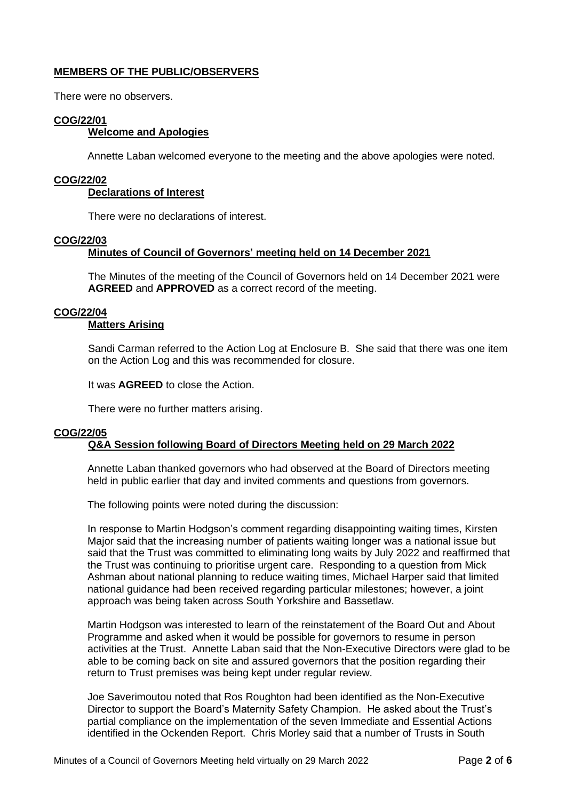## **MEMBERS OF THE PUBLIC/OBSERVERS**

There were no observers.

## **COG/22/01**

## **Welcome and Apologies**

Annette Laban welcomed everyone to the meeting and the above apologies were noted.

#### **COG/22/02**

## **Declarations of Interest**

There were no declarations of interest.

#### **COG/22/03**

## **Minutes of Council of Governors' meeting held on 14 December 2021**

The Minutes of the meeting of the Council of Governors held on 14 December 2021 were **AGREED** and **APPROVED** as a correct record of the meeting.

## **COG/22/04**

## **Matters Arising**

Sandi Carman referred to the Action Log at Enclosure B. She said that there was one item on the Action Log and this was recommended for closure.

It was **AGREED** to close the Action.

There were no further matters arising.

## **COG/22/05 Q&A Session following Board of Directors Meeting held on 29 March 2022**

Annette Laban thanked governors who had observed at the Board of Directors meeting held in public earlier that day and invited comments and questions from governors.

The following points were noted during the discussion:

In response to Martin Hodgson's comment regarding disappointing waiting times, Kirsten Major said that the increasing number of patients waiting longer was a national issue but said that the Trust was committed to eliminating long waits by July 2022 and reaffirmed that the Trust was continuing to prioritise urgent care. Responding to a question from Mick Ashman about national planning to reduce waiting times, Michael Harper said that limited national guidance had been received regarding particular milestones; however, a joint approach was being taken across South Yorkshire and Bassetlaw.

Martin Hodgson was interested to learn of the reinstatement of the Board Out and About Programme and asked when it would be possible for governors to resume in person activities at the Trust. Annette Laban said that the Non-Executive Directors were glad to be able to be coming back on site and assured governors that the position regarding their return to Trust premises was being kept under regular review.

Joe Saverimoutou noted that Ros Roughton had been identified as the Non-Executive Director to support the Board's Maternity Safety Champion. He asked about the Trust's partial compliance on the implementation of the seven Immediate and Essential Actions identified in the Ockenden Report. Chris Morley said that a number of Trusts in South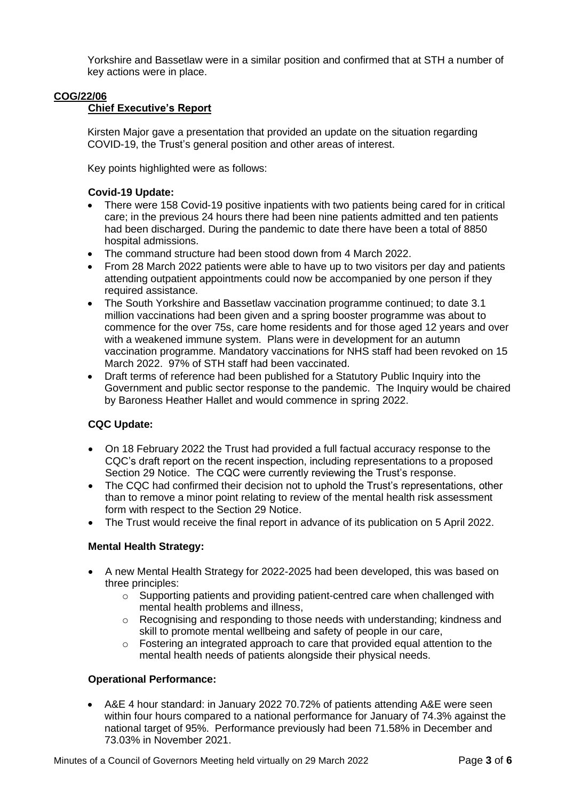Yorkshire and Bassetlaw were in a similar position and confirmed that at STH a number of key actions were in place.

## **COG/22/06**

## **Chief Executive's Report**

Kirsten Major gave a presentation that provided an update on the situation regarding COVID-19, the Trust's general position and other areas of interest.

Key points highlighted were as follows:

## **Covid-19 Update:**

- There were 158 Covid-19 positive inpatients with two patients being cared for in critical care; in the previous 24 hours there had been nine patients admitted and ten patients had been discharged. During the pandemic to date there have been a total of 8850 hospital admissions.
- The command structure had been stood down from 4 March 2022.
- From 28 March 2022 patients were able to have up to two visitors per day and patients attending outpatient appointments could now be accompanied by one person if they required assistance.
- The South Yorkshire and Bassetlaw vaccination programme continued; to date 3.1 million vaccinations had been given and a spring booster programme was about to commence for the over 75s, care home residents and for those aged 12 years and over with a weakened immune system. Plans were in development for an autumn vaccination programme. Mandatory vaccinations for NHS staff had been revoked on 15 March 2022. 97% of STH staff had been vaccinated.
- Draft terms of reference had been published for a Statutory Public Inquiry into the Government and public sector response to the pandemic. The Inquiry would be chaired by Baroness Heather Hallet and would commence in spring 2022.

## **CQC Update:**

- On 18 February 2022 the Trust had provided a full factual accuracy response to the CQC's draft report on the recent inspection, including representations to a proposed Section 29 Notice. The CQC were currently reviewing the Trust's response.
- The CQC had confirmed their decision not to uphold the Trust's representations, other than to remove a minor point relating to review of the mental health risk assessment form with respect to the Section 29 Notice.
- The Trust would receive the final report in advance of its publication on 5 April 2022.

## **Mental Health Strategy:**

- A new Mental Health Strategy for 2022-2025 had been developed, this was based on three principles:
	- o Supporting patients and providing patient-centred care when challenged with mental health problems and illness,
	- o Recognising and responding to those needs with understanding; kindness and skill to promote mental wellbeing and safety of people in our care,
	- $\circ$  Fostering an integrated approach to care that provided equal attention to the mental health needs of patients alongside their physical needs.

## **Operational Performance:**

• A&E 4 hour standard: in January 2022 70.72% of patients attending A&E were seen within four hours compared to a national performance for January of 74.3% against the national target of 95%. Performance previously had been 71.58% in December and 73.03% in November 2021.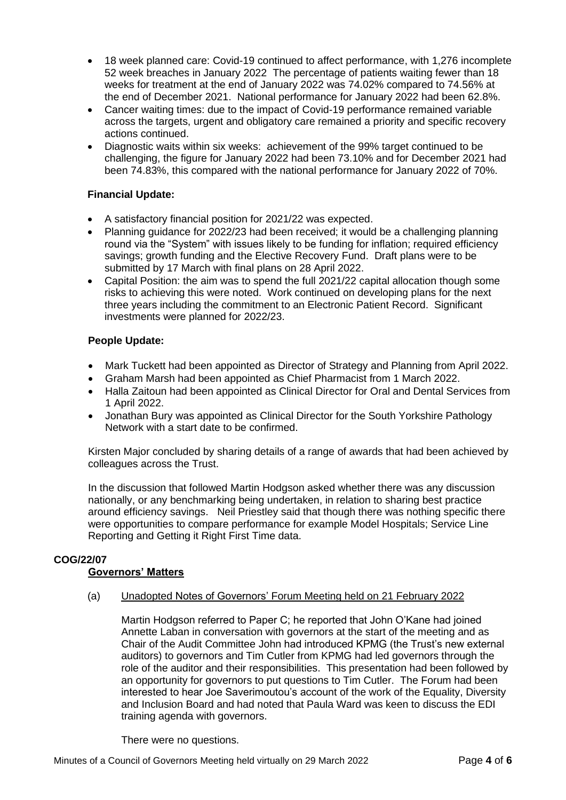- 18 week planned care: Covid-19 continued to affect performance, with 1,276 incomplete 52 week breaches in January 2022 The percentage of patients waiting fewer than 18 weeks for treatment at the end of January 2022 was 74.02% compared to 74.56% at the end of December 2021. National performance for January 2022 had been 62.8%.
- Cancer waiting times: due to the impact of Covid-19 performance remained variable across the targets, urgent and obligatory care remained a priority and specific recovery actions continued.
- Diagnostic waits within six weeks: achievement of the 99% target continued to be challenging, the figure for January 2022 had been 73.10% and for December 2021 had been 74.83%, this compared with the national performance for January 2022 of 70%.

## **Financial Update:**

- A satisfactory financial position for 2021/22 was expected.
- Planning guidance for 2022/23 had been received; it would be a challenging planning round via the "System" with issues likely to be funding for inflation; required efficiency savings; growth funding and the Elective Recovery Fund. Draft plans were to be submitted by 17 March with final plans on 28 April 2022.
- Capital Position: the aim was to spend the full 2021/22 capital allocation though some risks to achieving this were noted. Work continued on developing plans for the next three years including the commitment to an Electronic Patient Record. Significant investments were planned for 2022/23.

## **People Update:**

- Mark Tuckett had been appointed as Director of Strategy and Planning from April 2022.
- Graham Marsh had been appointed as Chief Pharmacist from 1 March 2022.
- Halla Zaitoun had been appointed as Clinical Director for Oral and Dental Services from 1 April 2022.
- Jonathan Bury was appointed as Clinical Director for the South Yorkshire Pathology Network with a start date to be confirmed.

Kirsten Major concluded by sharing details of a range of awards that had been achieved by colleagues across the Trust.

In the discussion that followed Martin Hodgson asked whether there was any discussion nationally, or any benchmarking being undertaken, in relation to sharing best practice around efficiency savings. Neil Priestley said that though there was nothing specific there were opportunities to compare performance for example Model Hospitals; Service Line Reporting and Getting it Right First Time data.

## **COG/22/07**

## **Governors' Matters**

(a) Unadopted Notes of Governors' Forum Meeting held on 21 February 2022

Martin Hodgson referred to Paper C; he reported that John O'Kane had joined Annette Laban in conversation with governors at the start of the meeting and as Chair of the Audit Committee John had introduced KPMG (the Trust's new external auditors) to governors and Tim Cutler from KPMG had led governors through the role of the auditor and their responsibilities. This presentation had been followed by an opportunity for governors to put questions to Tim Cutler. The Forum had been interested to hear Joe Saverimoutou's account of the work of the Equality, Diversity and Inclusion Board and had noted that Paula Ward was keen to discuss the EDI training agenda with governors.

There were no questions.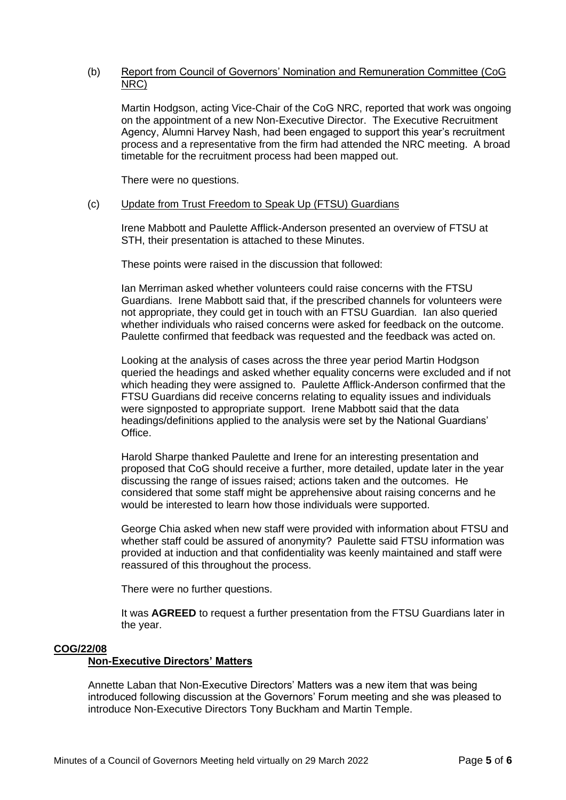## (b) Report from Council of Governors' Nomination and Remuneration Committee (CoG NRC)

Martin Hodgson, acting Vice-Chair of the CoG NRC, reported that work was ongoing on the appointment of a new Non-Executive Director. The Executive Recruitment Agency, Alumni Harvey Nash, had been engaged to support this year's recruitment process and a representative from the firm had attended the NRC meeting. A broad timetable for the recruitment process had been mapped out.

There were no questions.

## (c) Update from Trust Freedom to Speak Up (FTSU) Guardians

Irene Mabbott and Paulette Afflick-Anderson presented an overview of FTSU at STH, their presentation is attached to these Minutes.

These points were raised in the discussion that followed:

Ian Merriman asked whether volunteers could raise concerns with the FTSU Guardians. Irene Mabbott said that, if the prescribed channels for volunteers were not appropriate, they could get in touch with an FTSU Guardian. Ian also queried whether individuals who raised concerns were asked for feedback on the outcome. Paulette confirmed that feedback was requested and the feedback was acted on.

Looking at the analysis of cases across the three year period Martin Hodgson queried the headings and asked whether equality concerns were excluded and if not which heading they were assigned to. Paulette Afflick-Anderson confirmed that the FTSU Guardians did receive concerns relating to equality issues and individuals were signposted to appropriate support. Irene Mabbott said that the data headings/definitions applied to the analysis were set by the National Guardians' Office.

Harold Sharpe thanked Paulette and Irene for an interesting presentation and proposed that CoG should receive a further, more detailed, update later in the year discussing the range of issues raised; actions taken and the outcomes. He considered that some staff might be apprehensive about raising concerns and he would be interested to learn how those individuals were supported.

George Chia asked when new staff were provided with information about FTSU and whether staff could be assured of anonymity? Paulette said FTSU information was provided at induction and that confidentiality was keenly maintained and staff were reassured of this throughout the process.

There were no further questions.

It was **AGREED** to request a further presentation from the FTSU Guardians later in the year.

## **COG/22/08**

## **Non-Executive Directors' Matters**

Annette Laban that Non-Executive Directors' Matters was a new item that was being introduced following discussion at the Governors' Forum meeting and she was pleased to introduce Non-Executive Directors Tony Buckham and Martin Temple.